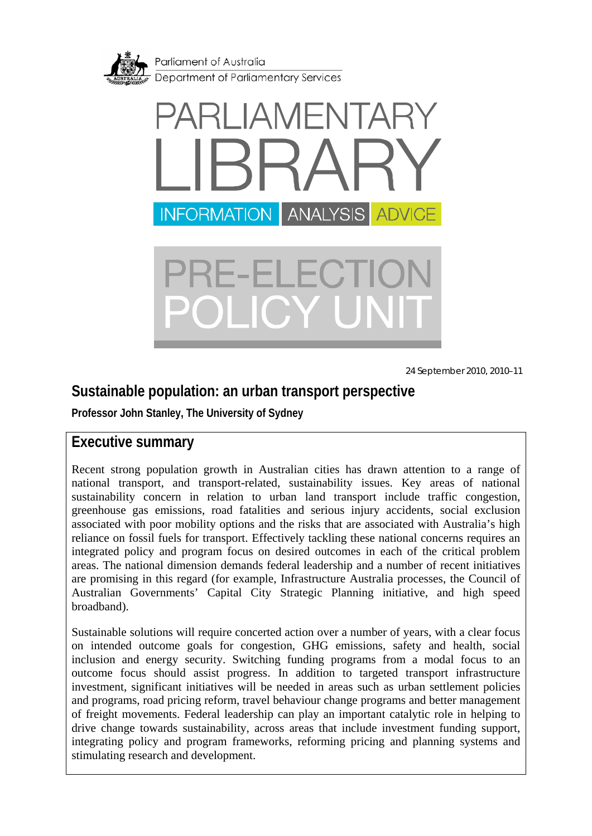<span id="page-0-0"></span>



24 September 2010, 2010–11

## **Sustainable population: an urban transport perspective**

**Professor John Stanley, The University of Sydney** 

### **Executive summary**

Recent strong population growth in Australian cities has drawn attention to a range of national transport, and transport-related, sustainability issues. Key areas of national sustainability concern in relation to urban land transport include traffic congestion, greenhouse gas emissions, road fatalities and serious injury accidents, social exclusion associated with poor mobility options and the risks that are associated with Australia's high reliance on fossil fuels for transport. Effectively tackling these national concerns requires an integrated policy and program focus on desired outcomes in each of the critical problem areas. The national dimension demands federal leadership and a number of recent initiatives are promising in this regard (for example, Infrastructure Australia processes, the Council of Australian Governments' Capital City Strategic Planning initiative, and high speed broadband).

Sustainable solutions will require concerted action over a number of years, with a clear focus on intended outcome goals for congestion, GHG emissions, safety and health, social inclusion and energy security. Switching funding programs from a modal focus to an outcome focus should assist progress. In addition to targeted transport infrastructure investment, significant initiatives will be needed in areas such as urban settlement policies and programs, road pricing reform, travel behaviour change programs and better management of freight movements. Federal leadership can play an important catalytic role in helping to drive change towards sustainability, across areas that include investment funding support, integrating policy and program frameworks, reforming pricing and planning systems and stimulating research and development.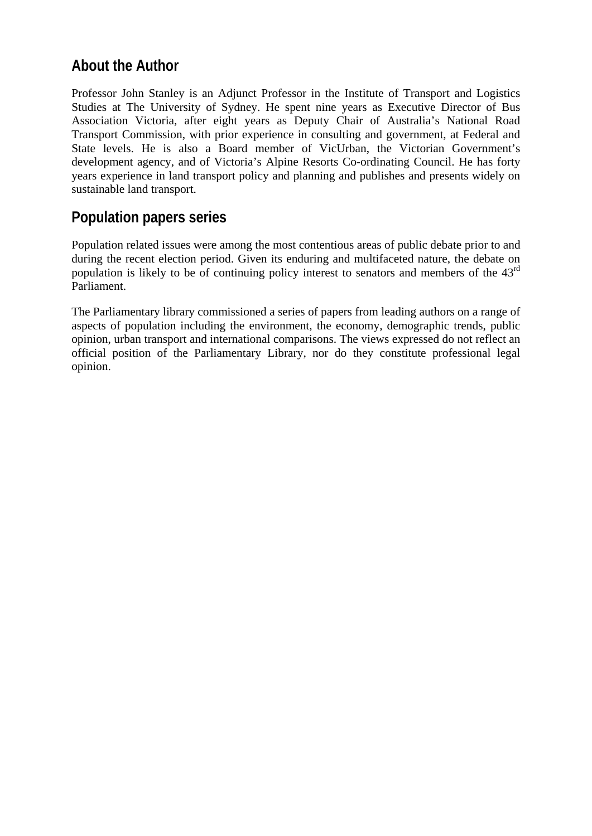### **About the Author**

Professor John Stanley is an Adjunct Professor in the Institute of Transport and Logistics Studies at The University of Sydney. He spent nine years as Executive Director of Bus Association Victoria, after eight years as Deputy Chair of Australia's National Road Transport Commission, with prior experience in consulting and government, at Federal and State levels. He is also a Board member of VicUrban, the Victorian Government's development agency, and of Victoria's Alpine Resorts Co-ordinating Council. He has forty years experience in land transport policy and planning and publishes and presents widely on sustainable land transport.

### **Population papers series**

Population related issues were among the most contentious areas of public debate prior to and during the recent election period. Given its enduring and multifaceted nature, the debate on population is likely to be of continuing policy interest to senators and members of the 43rd Parliament.

The Parliamentary library commissioned a series of papers from leading authors on a range of aspects of population including the environment, the economy, demographic trends, public opinion, urban transport and international comparisons. The views expressed do not reflect an official position of the Parliamentary Library, nor do they constitute professional legal opinion.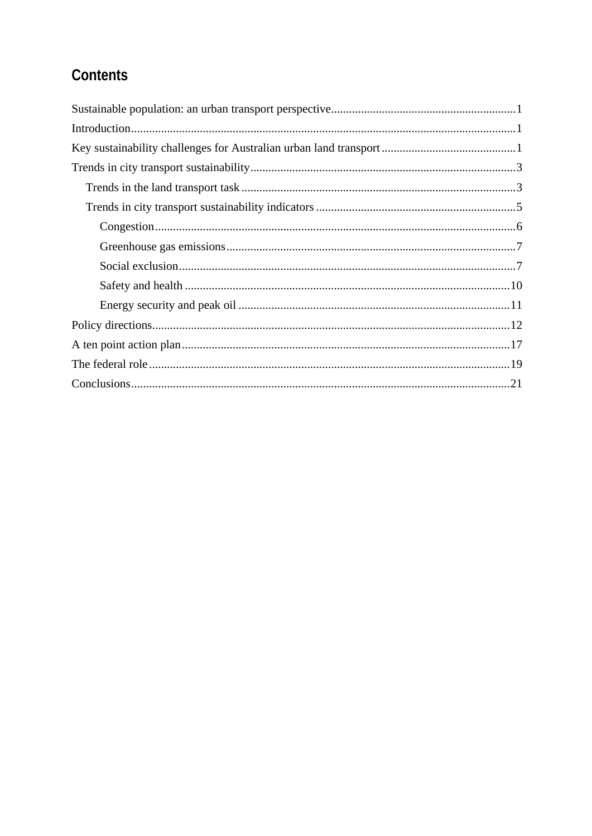# Contents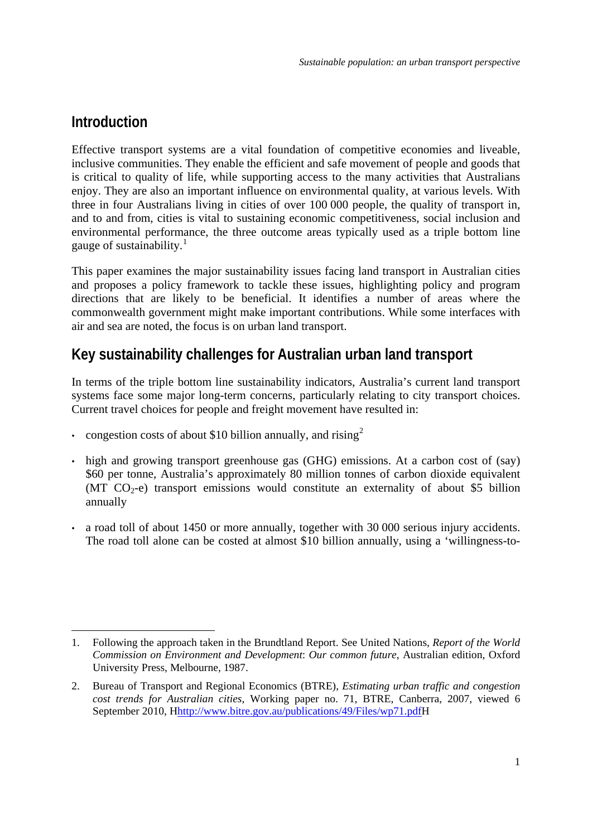### <span id="page-3-1"></span><span id="page-3-0"></span>**Introduction**

Effective transport systems are a vital foundation of competitive economies and liveable, inclusive communities. They enable the efficient and safe movement of people and goods that is critical to quality of life, while supporting access to the many activities that Australians enjoy. They are also an important influence on environmental quality, at various levels. With three in four Australians living in cities of over 100 000 people, the quality of transport in, and to and from, cities is vital to sustaining economic competitiveness, social inclusion and environmental performance, the three outcome areas typically used as a triple bottom line gauge of sustainability. $\frac{1}{1}$  $\frac{1}{1}$  $\frac{1}{1}$ 

This paper examines the major sustainability issues facing land transport in Australian cities and proposes a policy framework to tackle these issues, highlighting policy and program directions that are likely to be beneficial. It identifies a number of areas where the commonwealth government might make important contributions. While some interfaces with air and sea are noted, the focus is on urban land transport.

## **Key sustainability challenges for Australian urban land transport**

In terms of the triple bottom line sustainability indicators, Australia's current land transport systems face some major long-term concerns, particularly relating to city transport choices. Current travel choices for people and freight movement have resulted in:

- congestion costs of about \$10 billion annually, and rising  $2^2$  $2^2$
- high and growing transport greenhouse gas (GHG) emissions. At a carbon cost of (say) \$60 per tonne, Australia's approximately 80 million tonnes of carbon dioxide equivalent (MT  $CO<sub>2</sub>$ -e) transport emissions would constitute an externality of about \$5 billion annually
- a road toll of about 1450 or more annually, together with 30 000 serious injury accidents. The road toll alone can be costed at almost \$10 billion annually, using a 'willingness-to-

<sup>1</sup> 1. Following the approach taken in the Brundtland Report. See United Nations, *Report of the World Commission on Environment and Development*: *Our common future*, Australian edition, Oxford University Press, Melbourne, 1987.

<span id="page-3-2"></span><sup>2.</sup> Bureau of Transport and Regional Economics (BTRE), *Estimating urban traffic and congestion cost trends for Australian cities*, Working paper no. 71, BTRE, Canberra, 2007, viewed 6 September 2010, Hhttp://www.bitre.gov.au/publications/49/Files/wp71.pdfH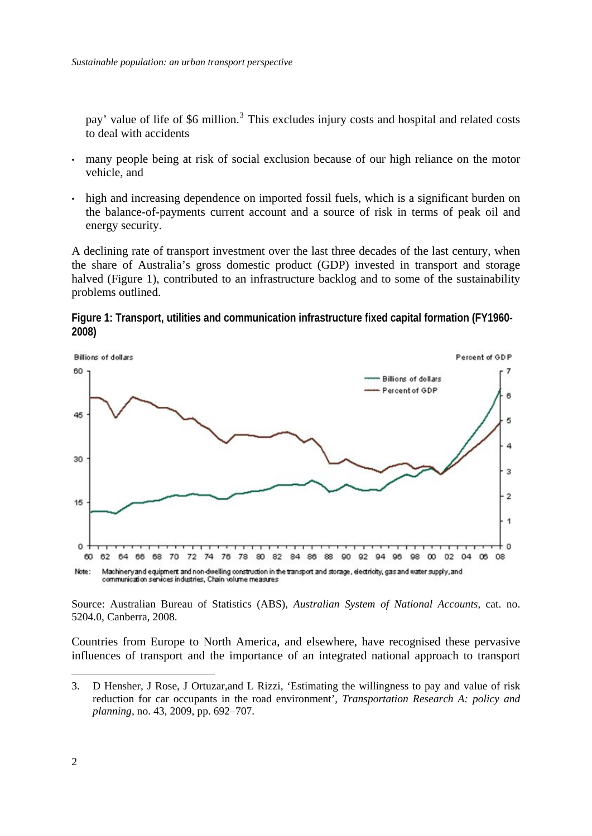pay' value of life of \$6 million.<sup>3</sup> This excludes injury costs and hospital and related costs to deal with accidents

- many people being at risk of social exclusion because of our high reliance on the motor vehicle, and
- high and increasing dependence on imported fossil fuels, which is a significant burden on the balance-of-payments current account and a source of risk in terms of peak oil and energy security.

A declining rate of transport investment over the last three decades of the last century, when the share of Australia's gross domestic product (GDP) invested in transport and storage halved (Figure 1), contributed to an infrastructure backlog and to some of the sustainability problems outlined.

**Figure 1: Transport, utilities and communication infrastructure fixed capital formation (FY1960- 2008)** 



Source: Australian Bureau of Statistics (ABS), *Australian System of National Accounts,* cat. no. 5204.0, Canberra, 2008.

Countries from Europe to North America, and elsewhere, have recognised these pervasive influences of transport and the importance of an integrated national approach to transport

<u>.</u>

<sup>3.</sup> D Hensher, J Rose, J Ortuzar,and L Rizzi, 'Estimating the willingness to pay and value of risk reduction for car occupants in the road environment', *Transportation Research A: policy and planning,* no. 43, 2009, pp. 692–707.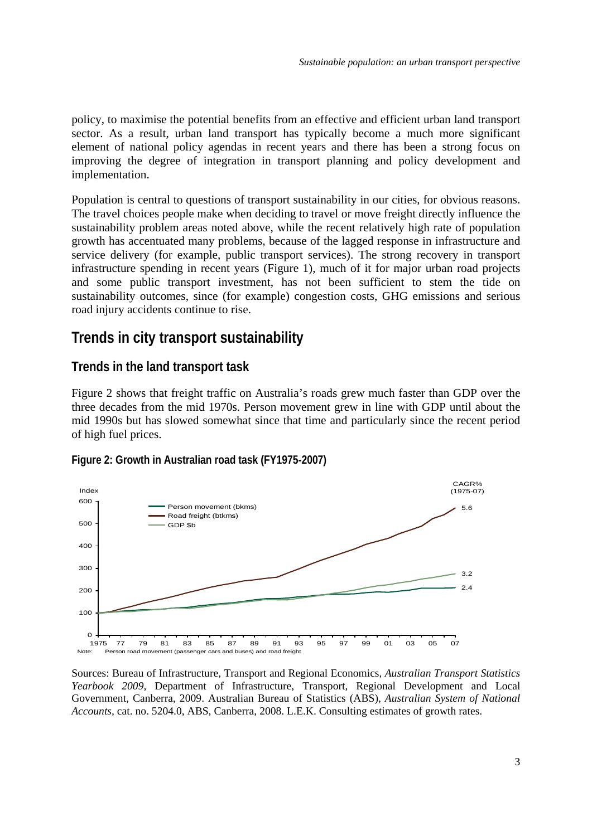<span id="page-5-0"></span>policy, to maximise the potential benefits from an effective and efficient urban land transport sector. As a result, urban land transport has typically become a much more significant element of national policy agendas in recent years and there has been a strong focus on improving the degree of integration in transport planning and policy development and implementation.

Population is central to questions of transport sustainability in our cities, for obvious reasons. The travel choices people make when deciding to travel or move freight directly influence the sustainability problem areas noted above, while the recent relatively high rate of population growth has accentuated many problems, because of the lagged response in infrastructure and service delivery (for example, public transport services). The strong recovery in transport infrastructure spending in recent years (Figure 1), much of it for major urban road projects and some public transport investment, has not been sufficient to stem the tide on sustainability outcomes, since (for example) congestion costs, GHG emissions and serious road injury accidents continue to rise.

### **Trends in city transport sustainability**

### **Trends in the land transport task**

Figure 2 shows that freight traffic on Australia's roads grew much faster than GDP over the three decades from the mid 1970s. Person movement grew in line with GDP until about the mid 1990s but has slowed somewhat since that time and particularly since the recent period of high fuel prices.





Sources: Bureau of Infrastructure, Transport and Regional Economics, *Australian Transport Statistics Yearbook 2009*, Department of Infrastructure, Transport, Regional Development and Local Government, Canberra, 2009. Australian Bureau of Statistics (ABS), *Australian System of National Accounts,* cat. no. 5204.0, ABS, Canberra, 2008. L.E.K. Consulting estimates of growth rates.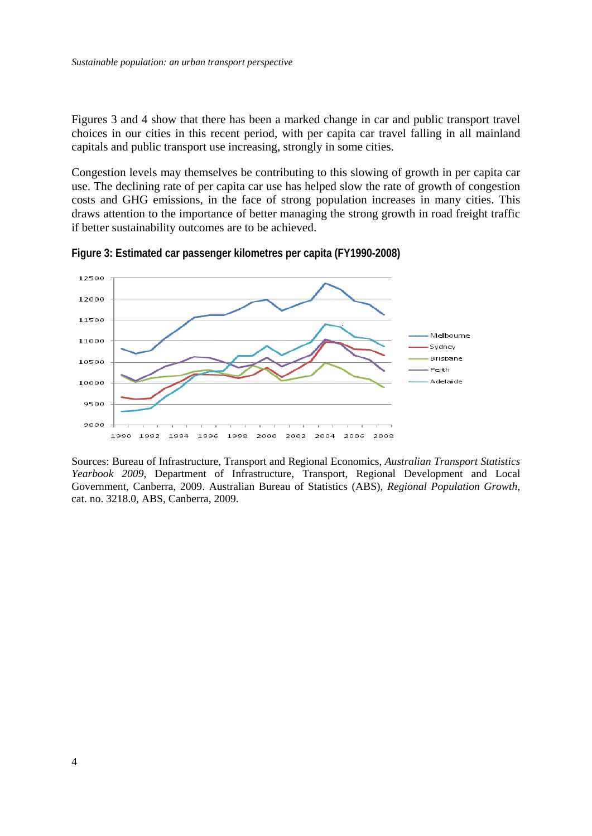Figures 3 and 4 show that there has been a marked change in car and public transport travel choices in our cities in this recent period, with per capita car travel falling in all mainland capitals and public transport use increasing, strongly in some cities.

Congestion levels may themselves be contributing to this slowing of growth in per capita car use. The declining rate of per capita car use has helped slow the rate of growth of congestion costs and GHG emissions, in the face of strong population increases in many cities. This draws attention to the importance of better managing the strong growth in road freight traffic if better sustainability outcomes are to be achieved.



**Figure 3: Estimated car passenger kilometres per capita (FY1990-2008)** 

Sources: Bureau of Infrastructure, Transport and Regional Economics, *Australian Transport Statistics Yearbook 2009*, Department of Infrastructure, Transport, Regional Development and Local Government, Canberra, 2009. Australian Bureau of Statistics (ABS), *Regional Population Growth*, cat. no. 3218.0, ABS, Canberra, 2009.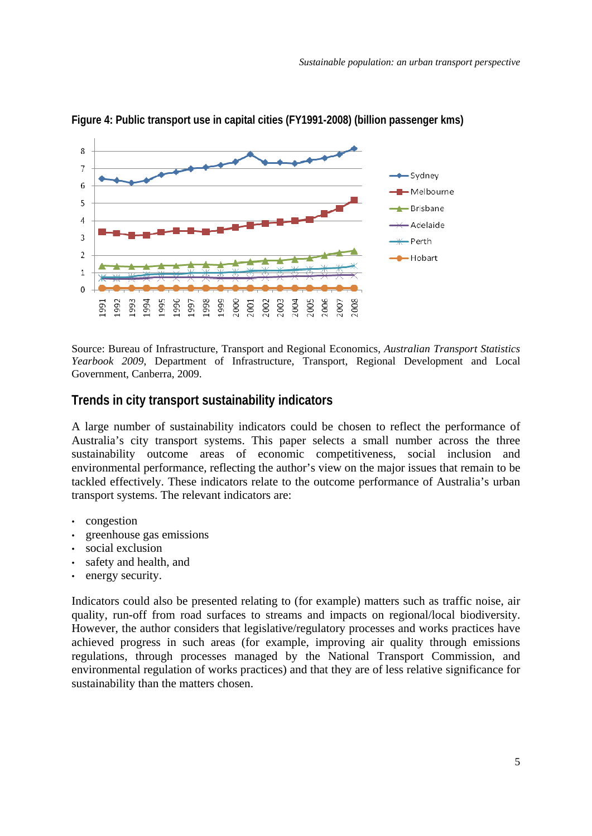

<span id="page-7-0"></span>**Figure 4: Public transport use in capital cities (FY1991-2008) (billion passenger kms)** 

Source: Bureau of Infrastructure, Transport and Regional Economics, *Australian Transport Statistics Yearbook 2009*, Department of Infrastructure, Transport, Regional Development and Local Government, Canberra, 2009.

#### **Trends in city transport sustainability indicators**

A large number of sustainability indicators could be chosen to reflect the performance of Australia's city transport systems. This paper selects a small number across the three sustainability outcome areas of economic competitiveness, social inclusion and environmental performance, reflecting the author's view on the major issues that remain to be tackled effectively. These indicators relate to the outcome performance of Australia's urban transport systems. The relevant indicators are:

- congestion
- greenhouse gas emissions
- social exclusion
- safety and health, and
- energy security.

Indicators could also be presented relating to (for example) matters such as traffic noise, air quality, run-off from road surfaces to streams and impacts on regional/local biodiversity. However, the author considers that legislative/regulatory processes and works practices have achieved progress in such areas (for example, improving air quality through emissions regulations, through processes managed by the National Transport Commission, and environmental regulation of works practices) and that they are of less relative significance for sustainability than the matters chosen.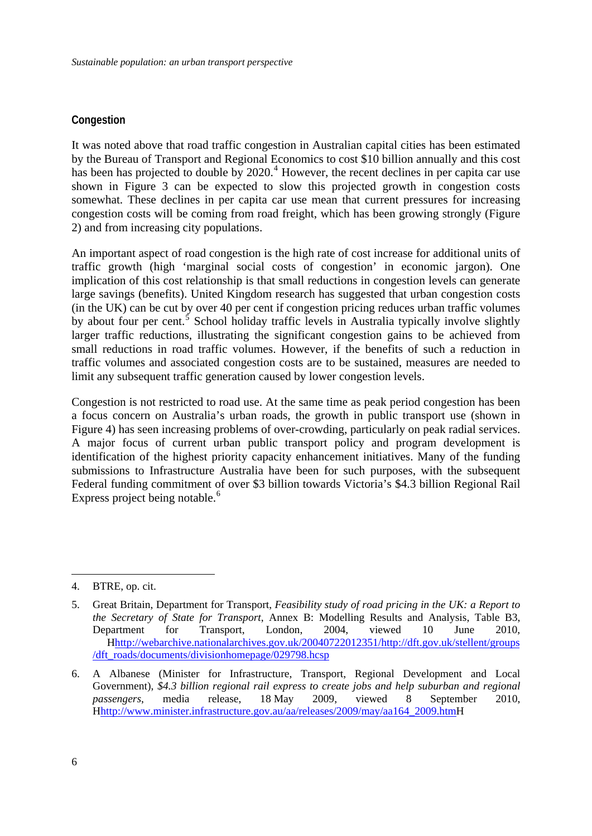#### <span id="page-8-0"></span>**Congestion**

It was noted above that road traffic congestion in Australian capital cities has been estimated by the Bureau of Transport and Regional Economics to cost \$10 billion annually and this cost has been has projected to double by  $2020$ .<sup>[4](#page-8-1)</sup> However, the recent declines in per capita car use shown in Figure 3 can be expected to slow this projected growth in congestion costs somewhat. These declines in per capita car use mean that current pressures for increasing congestion costs will be coming from road freight, which has been growing strongly (Figure 2) and from increasing city populations.

An important aspect of road congestion is the high rate of cost increase for additional units of traffic growth (high 'marginal social costs of congestion' in economic jargon). One implication of this cost relationship is that small reductions in congestion levels can generate large savings (benefits). United Kingdom research has suggested that urban congestion costs (in the UK) can be cut by over 40 per cent if congestion pricing reduces urban traffic volumes by about four per cent.<sup>[5](#page-8-2)</sup> School holiday traffic levels in Australia typically involve slightly larger traffic reductions, illustrating the significant congestion gains to be achieved from small reductions in road traffic volumes. However, if the benefits of such a reduction in traffic volumes and associated congestion costs are to be sustained, measures are needed to limit any subsequent traffic generation caused by lower congestion levels.

Congestion is not restricted to road use. At the same time as peak period congestion has been a focus concern on Australia's urban roads, the growth in public transport use (shown in Figure 4) has seen increasing problems of over-crowding, particularly on peak radial services. A major focus of current urban public transport policy and program development is identification of the highest priority capacity enhancement initiatives. Many of the funding submissions to Infrastructure Australia have been for such purposes, with the subsequent Federal funding commitment of over \$3 billion towards Victoria's \$4.3 billion Regional Rail Express project being notable.<sup>[6](#page-8-3)</sup>

<span id="page-8-1"></span><sup>4.</sup> BTRE, op. cit.

<span id="page-8-2"></span><sup>5.</sup> Great Britain, Department for Transport, *Feasibility study of road pricing in the UK: a Report to the Secretary of State for Transport*, Annex B: Modelling Results and Analysis, Table B3, Department for Transport, London, 2004, viewed 10 June 2010, Hhttp://webarchive.nationalarchives.gov.uk/20040722012351/http://dft.gov.uk/stellent/groups /dft\_roads/documents/divisionhomepage/029798.hcsp

<span id="page-8-3"></span><sup>6.</sup> A Albanese (Minister for Infrastructure, Transport, Regional Development and Local Government), *\$4.3 billion regional rail express to create jobs and help suburban and regional passengers*, media release, 18 May 2009, viewed 8 September 2010, Hhttp://www.minister.infrastructure.gov.au/aa/releases/2009/may/aa164\_2009.htmH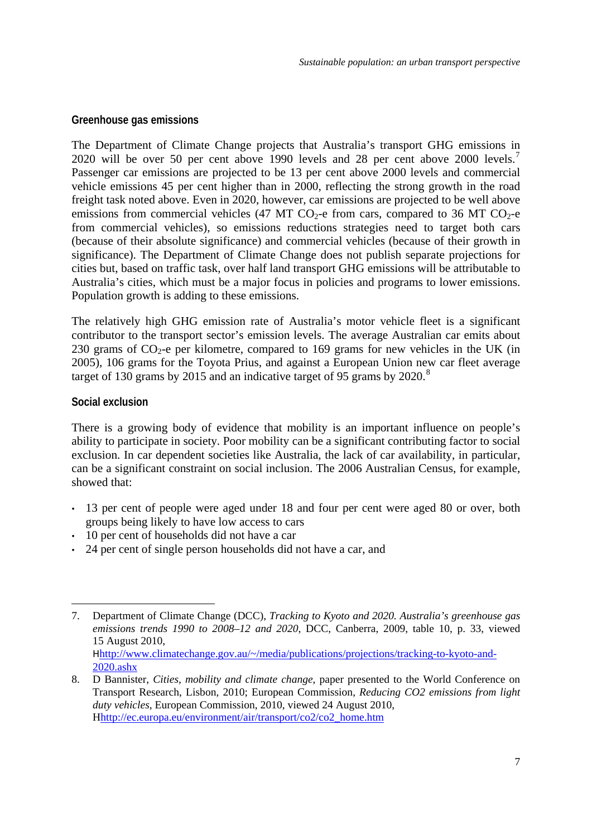#### <span id="page-9-0"></span>**Greenhouse gas emissions**

The Department of Climate Change projects that Australia's transport GHG emissions in 2020 will be over 50 per cent above 1990 levels and 28 per cent above 2000 levels.<sup>[7](#page-9-1)</sup> Passenger car emissions are projected to be 13 per cent above 2000 levels and commercial vehicle emissions 45 per cent higher than in 2000, reflecting the strong growth in the road freight task noted above. Even in 2020, however, car emissions are projected to be well above emissions from commercial vehicles (47 MT CO<sub>2</sub>-e from cars, compared to 36 MT CO<sub>2</sub>-e from commercial vehicles), so emissions reductions strategies need to target both cars (because of their absolute significance) and commercial vehicles (because of their growth in significance). The Department of Climate Change does not publish separate projections for cities but, based on traffic task, over half land transport GHG emissions will be attributable to Australia's cities, which must be a major focus in policies and programs to lower emissions. Population growth is adding to these emissions.

The relatively high GHG emission rate of Australia's motor vehicle fleet is a significant contributor to the transport sector's emission levels. The average Australian car emits about 230 grams of  $CO_2$ -e per kilometre, compared to 169 grams for new vehicles in the UK (in 2005), 106 grams for the Toyota Prius, and against a European Union new car fleet average target of 130 grams by 2015 and an indicative target of 95 grams by  $2020$ .<sup>[8](#page-9-2)</sup>

#### **Social exclusion**

1

There is a growing body of evidence that mobility is an important influence on people's ability to participate in society. Poor mobility can be a significant contributing factor to social exclusion. In car dependent societies like Australia, the lack of car availability, in particular, can be a significant constraint on social inclusion. The 2006 Australian Census, for example, showed that:

- 13 per cent of people were aged under 18 and four per cent were aged 80 or over, both groups being likely to have low access to cars
- 10 per cent of households did not have a car
- 24 per cent of single person households did not have a car, and

<span id="page-9-1"></span><sup>7.</sup> Department of Climate Change (DCC), *Tracking to Kyoto and 2020. Australia's greenhouse gas emissions trends 1990 to 2008–12 and 2020*, DCC, Canberra, 2009, table 10, p. 33, viewed 15 August 2010, Hhttp://www.climatechange.gov.au/~/media/publications/projections/tracking-to-kyoto-and-2020.ashx

<span id="page-9-2"></span><sup>8.</sup> D Bannister, *Cities, mobility and climate change*, paper presented to the World Conference on Transport Research, Lisbon, 2010; European Commission, *Reducing CO2 emissions from light duty vehicles*, European Commission, 2010, viewed 24 August 2010, Hhttp://ec.europa.eu/environment/air/transport/co2/co2\_home.htm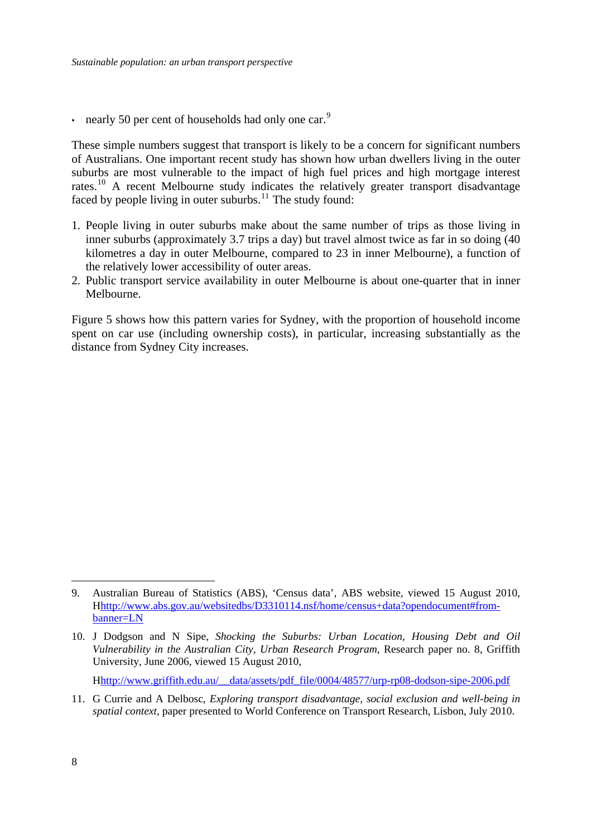nearly 50 per cent of households had only one car.<sup>[9](#page-10-0)</sup>

These simple numbers suggest that transport is likely to be a concern for significant numbers of Australians. One important recent study has shown how urban dwellers living in the outer suburbs are most vulnerable to the impact of high fuel prices and high mortgage interest rates.[10](#page-10-1) A recent Melbourne study indicates the relatively greater transport disadvantage faced by people living in outer suburbs. $11$  The study found:

- 1. People living in outer suburbs make about the same number of trips as those living in inner suburbs (approximately 3.7 trips a day) but travel almost twice as far in so doing (40 kilometres a day in outer Melbourne, compared to 23 in inner Melbourne), a function of the relatively lower accessibility of outer areas.
- 2. Public transport service availability in outer Melbourne is about one-quarter that in inner Melbourne.

Figure 5 shows how this pattern varies for Sydney, with the proportion of household income spent on car use (including ownership costs), in particular, increasing substantially as the distance from Sydney City increases.

Hhttp://www.griffith.edu.au/\_\_data/assets/pdf\_file/0004/48577/urp-rp08-dodson-sipe-2006.pdf

<span id="page-10-2"></span>11. G Currie and A Delbosc, *Exploring transport disadvantage, social exclusion and well-being in spatial context*, paper presented to World Conference on Transport Research, Lisbon, July 2010.

<span id="page-10-0"></span><sup>9.</sup> Australian Bureau of Statistics (ABS), 'Census data', ABS website, viewed 15 August 2010, Hhttp://www.abs.gov.au/websitedbs/D3310114.nsf/home/census+data?opendocument#frombanner=LN

<span id="page-10-1"></span><sup>10.</sup> J Dodgson and N Sipe, *Shocking the Suburbs: Urban Location, Housing Debt and Oil Vulnerability in the Australian City, Urban Research Program*, Research paper no. 8, Griffith University, June 2006, viewed 15 August 2010,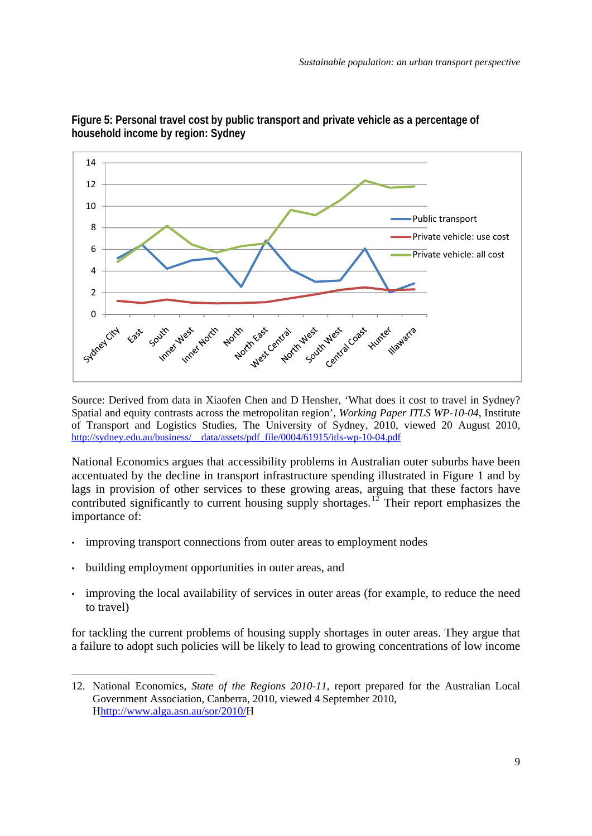

**Figure 5: Personal travel cost by public transport and private vehicle as a percentage of household income by region: Sydney** 

Source: Derived from data in Xiaofen Chen and D Hensher, 'What does it cost to travel in Sydney? Spatial and equity contrasts across the metropolitan region', *Working Paper ITLS WP-10-04*, Institute of Transport and Logistics Studies, The University of Sydney, 2010, viewed 20 August 2010, [http://sydney.edu.au/business/\\_\\_data/assets/pdf\\_file/0004/61915/itls-wp-10-04.pdf](http://sydney.edu.au/business/__data/assets/pdf_file/0004/61915/itls-wp-10-04.pdf)

National Economics argues that accessibility problems in Australian outer suburbs have been accentuated by the decline in transport infrastructure spending illustrated in Figure 1 and by lags in provision of other services to these growing areas, arguing that these factors have contributed significantly to current housing supply shortages.<sup>[12](#page-11-0)</sup> Their report emphasizes the importance of:

- improving transport connections from outer areas to employment nodes
- building employment opportunities in outer areas, and

<u>.</u>

• improving the local availability of services in outer areas (for example, to reduce the need to travel)

for tackling the current problems of housing supply shortages in outer areas. They argue that a failure to adopt such policies will be likely to lead to growing concentrations of low income

<span id="page-11-0"></span><sup>12.</sup> National Economics, *State of the Regions 2010-11,* report prepared for the Australian Local Government Association, Canberra, 2010, viewed 4 September 2010, Hhttp://www.alga.asn.au/sor/2010/H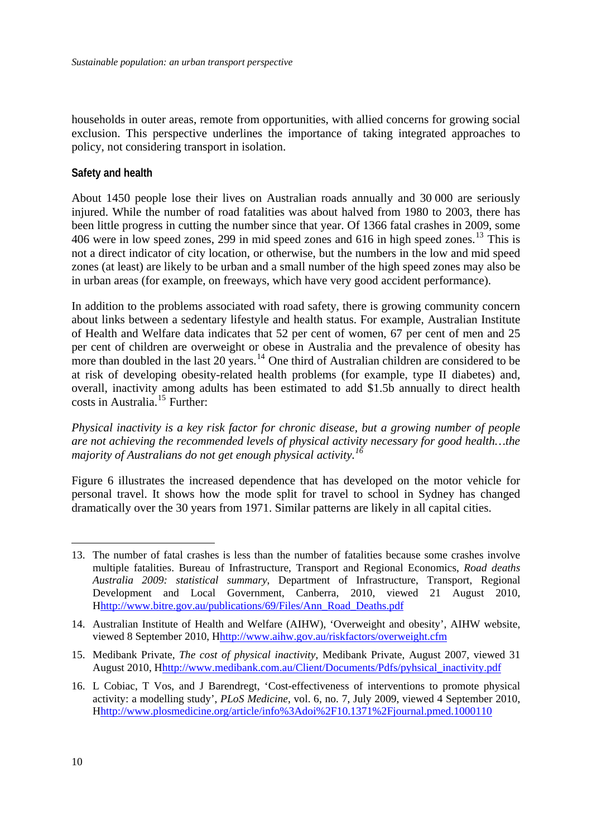<span id="page-12-0"></span>households in outer areas, remote from opportunities, with allied concerns for growing social exclusion. This perspective underlines the importance of taking integrated approaches to policy, not considering transport in isolation.

#### **Safety and health**

About 1450 people lose their lives on Australian roads annually and 30 000 are seriously injured. While the number of road fatalities was about halved from 1980 to 2003, there has been little progress in cutting the number since that year. Of 1366 fatal crashes in 2009, some 406 were in low speed zones, 299 in mid speed zones and 616 in high speed zones.[13](#page-12-1) This is not a direct indicator of city location, or otherwise, but the numbers in the low and mid speed zones (at least) are likely to be urban and a small number of the high speed zones may also be in urban areas (for example, on freeways, which have very good accident performance).

In addition to the problems associated with road safety, there is growing community concern about links between a sedentary lifestyle and health status. For example, Australian Institute of Health and Welfare data indicates that 52 per cent of women, 67 per cent of men and 25 per cent of children are overweight or obese in Australia and the prevalence of obesity has more than doubled in the last  $20$  years.<sup>[14](#page-12-2)</sup> One third of Australian children are considered to be at risk of developing obesity-related health problems (for example, type II diabetes) and, overall, inactivity among adults has been estimated to add \$1.5b annually to direct health costs in Australia.[15](#page-12-3) Further:

*Physical inactivity is a key risk factor for chronic disease, but a growing number of people are not achieving the recommended levels of physical activity necessary for good health…the majority of Australians do not get enough physical activity.[16](#page-12-4)*

Figure 6 illustrates the increased dependence that has developed on the motor vehicle for personal travel. It shows how the mode split for travel to school in Sydney has changed dramatically over the 30 years from 1971. Similar patterns are likely in all capital cities.

<span id="page-12-3"></span>15. Medibank Private, *The cost of physical inactivity*, Medibank Private, August 2007, viewed 31 August 2010, Hhttp://www.medibank.com.au/Client/Documents/Pdfs/pyhsical\_inactivity.pdf

<span id="page-12-1"></span><sup>13.</sup> The number of fatal crashes is less than the number of fatalities because some crashes involve multiple fatalities. Bureau of Infrastructure, Transport and Regional Economics, *Road deaths Australia 2009: statistical summary*, Department of Infrastructure, Transport, Regional Development and Local Government, Canberra, 2010, viewed 21 August 2010, Hhttp://www.bitre.gov.au/publications/69/Files/Ann\_Road\_Deaths.pdf

<span id="page-12-2"></span><sup>14.</sup> Australian Institute of Health and Welfare (AIHW), 'Overweight and obesity', AIHW website, viewed 8 September 2010, Hhttp://www.aihw.gov.au/riskfactors/overweight.cfm

<span id="page-12-4"></span><sup>16.</sup> L Cobiac, T Vos, and J Barendregt, 'Cost-effectiveness of interventions to promote physical activity: a modelling study', *PLoS Medicine*, vol. 6, no. 7, July 2009, viewed 4 September 2010, Hhttp://www.plosmedicine.org/article/info%3Adoi%2F10.1371%2Fjournal.pmed.1000110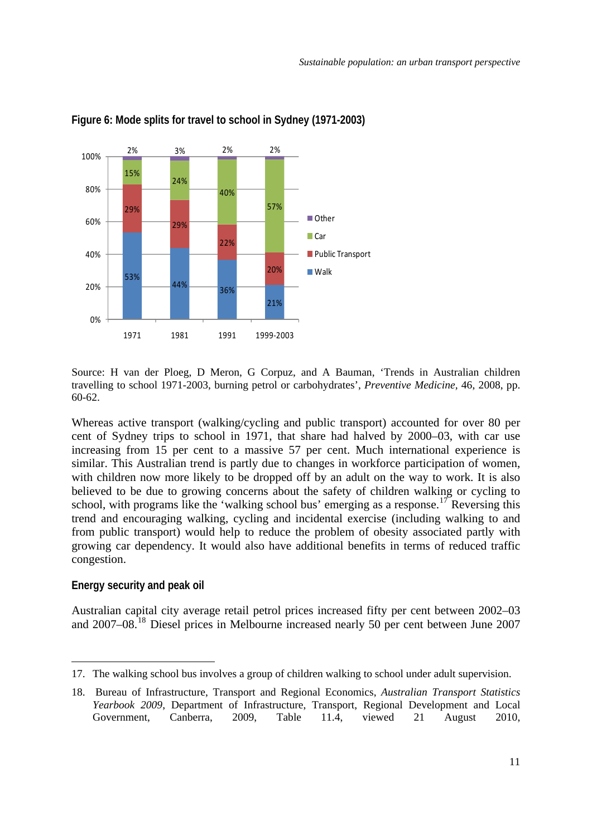

#### <span id="page-13-0"></span>**Figure 6: Mode splits for travel to school in Sydney (1971-2003)**

Source: H van der Ploeg, D Meron, G Corpuz, and A Bauman, 'Trends in Australian children travelling to school 1971-2003, burning petrol or carbohydrates', *Preventive Medicine,* 46, 2008, pp. 60-62.

Whereas active transport (walking/cycling and public transport) accounted for over 80 per cent of Sydney trips to school in 1971, that share had halved by 2000–03, with car use increasing from 15 per cent to a massive 57 per cent. Much international experience is similar. This Australian trend is partly due to changes in workforce participation of women, with children now more likely to be dropped off by an adult on the way to work. It is also believed to be due to growing concerns about the safety of children walking or cycling to school, with programs like the 'walking school bus' emerging as a response.<sup>[17](#page-13-1)</sup> Reversing this trend and encouraging walking, cycling and incidental exercise (including walking to and from public transport) would help to reduce the problem of obesity associated partly with growing car dependency. It would also have additional benefits in terms of reduced traffic congestion.

#### **Energy security and peak oil**

1

Australian capital city average retail petrol prices increased fifty per cent between 2002–03 and 2007–08.[18](#page-13-2) Diesel prices in Melbourne increased nearly 50 per cent between June 2007

<span id="page-13-1"></span><sup>17.</sup> The walking school bus involves a group of children walking to school under adult supervision.

<span id="page-13-2"></span><sup>18.</sup> Bureau of Infrastructure, Transport and Regional Economics, *Australian Transport Statistics Yearbook 2009*, Department of Infrastructure, Transport, Regional Development and Local Government, Canberra, 2009, Table 11.4, viewed 21 August 2010,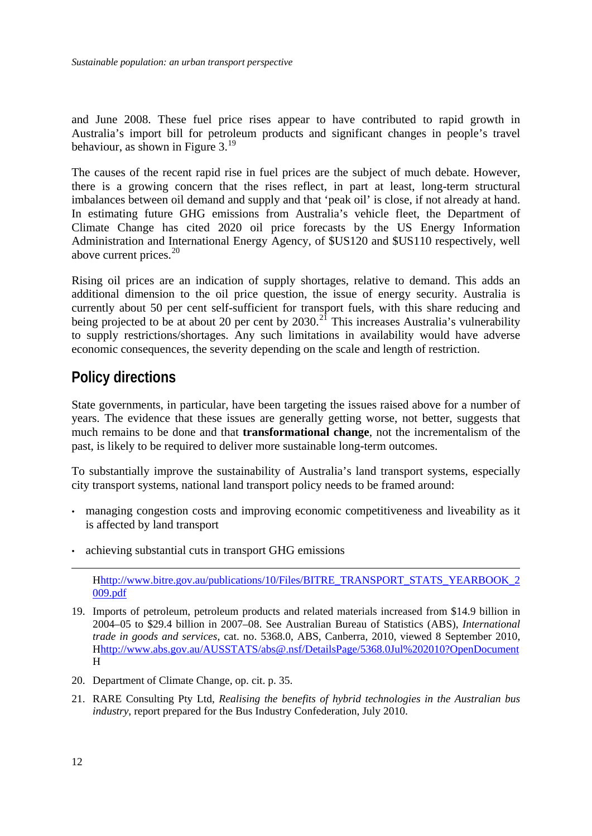<span id="page-14-0"></span>and June 2008. These fuel price rises appear to have contributed to rapid growth in Australia's import bill for petroleum products and significant changes in people's travel behaviour, as shown in Figure 3.[19](#page-14-1)

The causes of the recent rapid rise in fuel prices are the subject of much debate. However, there is a growing concern that the rises reflect, in part at least, long-term structural imbalances between oil demand and supply and that 'peak oil' is close, if not already at hand. In estimating future GHG emissions from Australia's vehicle fleet, the Department of Climate Change has cited 2020 oil price forecasts by the US Energy Information Administration and International Energy Agency, of \$US120 and \$US110 respectively, well above current prices. $20$ 

Rising oil prices are an indication of supply shortages, relative to demand. This adds an additional dimension to the oil price question, the issue of energy security. Australia is currently about 50 per cent self-sufficient for transport fuels, with this share reducing and being projected to be at about 20 per cent by  $2030$ .<sup>[21](#page-14-3)</sup> This increases Australia's vulnerability to supply restrictions/shortages. Any such limitations in availability would have adverse economic consequences, the severity depending on the scale and length of restriction.

### **Policy directions**

State governments, in particular, have been targeting the issues raised above for a number of years. The evidence that these issues are generally getting worse, not better, suggests that much remains to be done and that **transformational change**, not the incrementalism of the past, is likely to be required to deliver more sustainable long-term outcomes.

To substantially improve the sustainability of Australia's land transport systems, especially city transport systems, national land transport policy needs to be framed around:

- managing congestion costs and improving economic competitiveness and liveability as it is affected by land transport
- achieving substantial cuts in transport GHG emissions

- <span id="page-14-1"></span>19. Imports of petroleum, petroleum products and related materials increased from \$14.9 billion in 2004–05 to \$29.4 billion in 2007–08. See Australian Bureau of Statistics (ABS), *International trade in goods and services*, cat. no. 5368.0, ABS, Canberra, 2010, viewed 8 September 2010, Hhttp://www.abs.gov.au/AUSSTATS/abs@.nsf/DetailsPage/5368.0Jul%202010?OpenDocument H
- <span id="page-14-2"></span>20. Department of Climate Change, op. cit. p. 35.
- <span id="page-14-3"></span>21. RARE Consulting Pty Ltd, *Realising the benefits of hybrid technologies in the Australian bus industry*, report prepared for the Bus Industry Confederation, July 2010.

Hhttp://www.bitre.gov.au/publications/10/Files/BITRE\_TRANSPORT\_STATS\_YEARBOOK\_2 009.pdf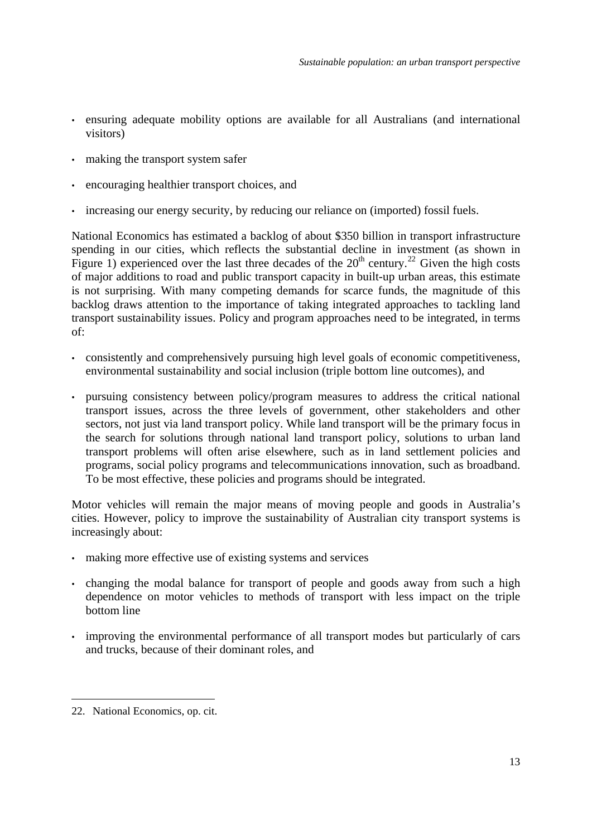- ensuring adequate mobility options are available for all Australians (and international visitors)
- making the transport system safer
- encouraging healthier transport choices, and
- increasing our energy security, by reducing our reliance on (imported) fossil fuels.

National Economics has estimated a backlog of about \$350 billion in transport infrastructure spending in our cities, which reflects the substantial decline in investment (as shown in Figure 1) experienced over the last three decades of the  $20<sup>th</sup>$  century.<sup>[22](#page-15-0)</sup> Given the high costs of major additions to road and public transport capacity in built-up urban areas, this estimate is not surprising. With many competing demands for scarce funds, the magnitude of this backlog draws attention to the importance of taking integrated approaches to tackling land transport sustainability issues. Policy and program approaches need to be integrated, in terms of:

- consistently and comprehensively pursuing high level goals of economic competitiveness, environmental sustainability and social inclusion (triple bottom line outcomes), and
- pursuing consistency between policy/program measures to address the critical national transport issues, across the three levels of government, other stakeholders and other sectors, not just via land transport policy. While land transport will be the primary focus in the search for solutions through national land transport policy, solutions to urban land transport problems will often arise elsewhere, such as in land settlement policies and programs, social policy programs and telecommunications innovation, such as broadband. To be most effective, these policies and programs should be integrated.

Motor vehicles will remain the major means of moving people and goods in Australia's cities. However, policy to improve the sustainability of Australian city transport systems is increasingly about:

- making more effective use of existing systems and services
- changing the modal balance for transport of people and goods away from such a high dependence on motor vehicles to methods of transport with less impact on the triple bottom line
- improving the environmental performance of all transport modes but particularly of cars and trucks, because of their dominant roles, and

<span id="page-15-0"></span><sup>22.</sup> National Economics, op. cit.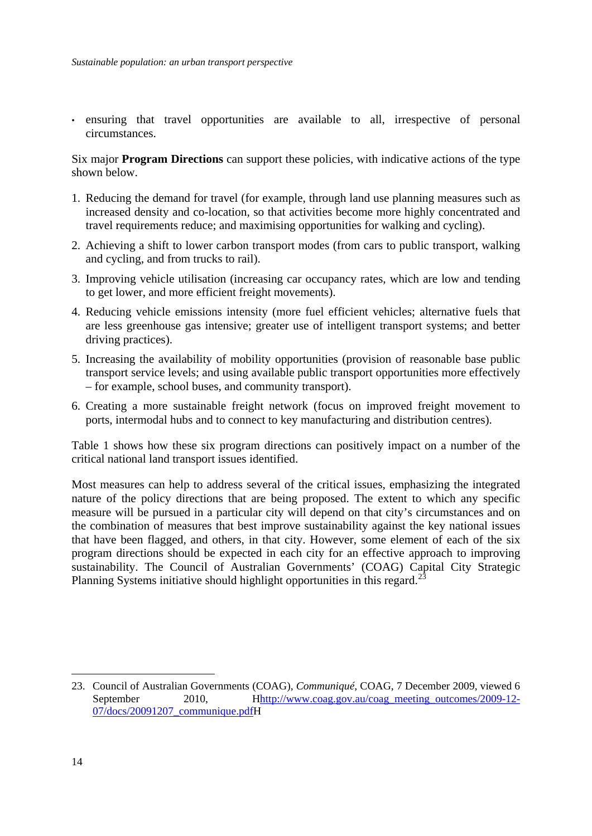• ensuring that travel opportunities are available to all, irrespective of personal circumstances.

Six major **Program Directions** can support these policies, with indicative actions of the type shown below.

- 1. Reducing the demand for travel (for example, through land use planning measures such as increased density and co-location, so that activities become more highly concentrated and travel requirements reduce; and maximising opportunities for walking and cycling).
- 2. Achieving a shift to lower carbon transport modes (from cars to public transport, walking and cycling, and from trucks to rail).
- 3. Improving vehicle utilisation (increasing car occupancy rates, which are low and tending to get lower, and more efficient freight movements).
- 4. Reducing vehicle emissions intensity (more fuel efficient vehicles; alternative fuels that are less greenhouse gas intensive; greater use of intelligent transport systems; and better driving practices).
- 5. Increasing the availability of mobility opportunities (provision of reasonable base public transport service levels; and using available public transport opportunities more effectively – for example, school buses, and community transport).
- 6. Creating a more sustainable freight network (focus on improved freight movement to ports, intermodal hubs and to connect to key manufacturing and distribution centres).

Table 1 shows how these six program directions can positively impact on a number of the critical national land transport issues identified.

Most measures can help to address several of the critical issues, emphasizing the integrated nature of the policy directions that are being proposed. The extent to which any specific measure will be pursued in a particular city will depend on that city's circumstances and on the combination of measures that best improve sustainability against the key national issues that have been flagged, and others, in that city. However, some element of each of the six program directions should be expected in each city for an effective approach to improving sustainability. The Council of Australian Governments' (COAG) Capital City Strategic Planning Systems initiative should highlight opportunities in this regard.<sup>[23](#page-16-0)</sup>

<u>.</u>

<span id="page-16-0"></span><sup>23.</sup> Council of Australian Governments (COAG), *Communiqué*, COAG, 7 December 2009, viewed 6 September 2010, Hhttp://www.coag.gov.au/coag\_meeting\_outcomes/2009-12-07/docs/20091207\_communique.pdfH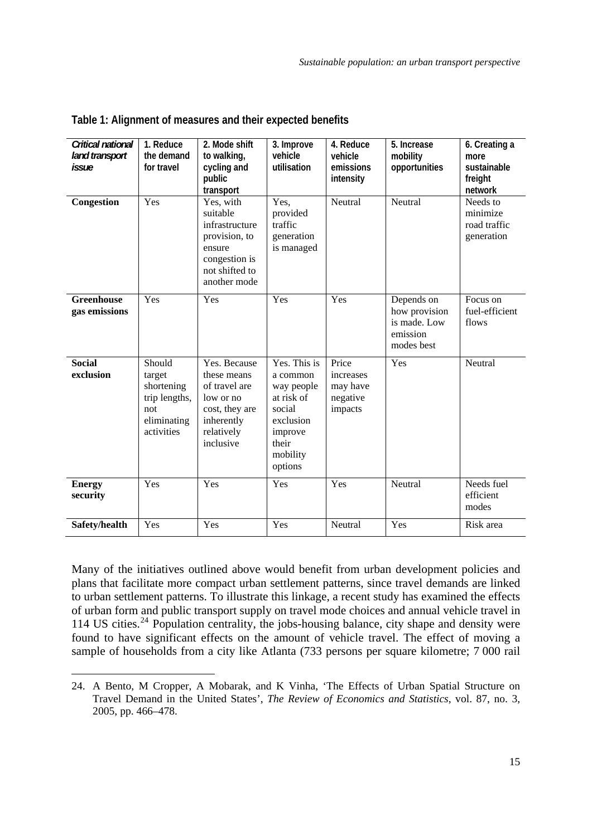| Critical national<br>land transport<br>issue | 1. Reduce<br>the demand<br>for travel                                               | 2. Mode shift<br>to walking,<br>cycling and<br>public<br>transport                                                    | 3. Improve<br>vehicle<br>utilisation                                                                                   | 4. Reduce<br>vehicle<br>emissions<br>intensity        | 5. Increase<br>mobility<br>opportunities                              | 6. Creating a<br>more<br>sustainable<br>freight<br>network |
|----------------------------------------------|-------------------------------------------------------------------------------------|-----------------------------------------------------------------------------------------------------------------------|------------------------------------------------------------------------------------------------------------------------|-------------------------------------------------------|-----------------------------------------------------------------------|------------------------------------------------------------|
| Congestion                                   | Yes                                                                                 | Yes, with<br>suitable<br>infrastructure<br>provision, to<br>ensure<br>congestion is<br>not shifted to<br>another mode | Yes.<br>provided<br>traffic<br>generation<br>is managed                                                                | Neutral                                               | Neutral                                                               | Needs to<br>minimize<br>road traffic<br>generation         |
| <b>Greenhouse</b><br>gas emissions           | Yes                                                                                 | Yes                                                                                                                   | Yes                                                                                                                    | Yes                                                   | Depends on<br>how provision<br>is made. Low<br>emission<br>modes best | Focus on<br>fuel-efficient<br>flows                        |
| <b>Social</b><br>exclusion                   | Should<br>target<br>shortening<br>trip lengths,<br>not<br>eliminating<br>activities | Yes. Because<br>these means<br>of travel are<br>low or no<br>cost, they are<br>inherently<br>relatively<br>inclusive  | Yes. This is<br>a common<br>way people<br>at risk of<br>social<br>exclusion<br>improve<br>their<br>mobility<br>options | Price<br>increases<br>may have<br>negative<br>impacts | Yes                                                                   | Neutral                                                    |
| <b>Energy</b><br>security                    | Yes                                                                                 | Yes                                                                                                                   | Yes                                                                                                                    | Yes                                                   | Neutral                                                               | Needs fuel<br>efficient<br>modes                           |
| Safety/health                                | Yes                                                                                 | Yes                                                                                                                   | Yes                                                                                                                    | Neutral                                               | Yes                                                                   | Risk area                                                  |

| Table 1: Alignment of measures and their expected benefits |  |  |  |  |  |  |
|------------------------------------------------------------|--|--|--|--|--|--|
|------------------------------------------------------------|--|--|--|--|--|--|

Many of the initiatives outlined above would benefit from urban development policies and plans that facilitate more compact urban settlement patterns, since travel demands are linked to urban settlement patterns. To illustrate this linkage, a recent study has examined the effects of urban form and public transport supply on travel mode choices and annual vehicle travel in 114 US cities.<sup>[24](#page-17-0)</sup> Population centrality, the jobs-housing balance, city shape and density were found to have significant effects on the amount of vehicle travel. The effect of moving a sample of households from a city like Atlanta (733 persons per square kilometre; 7 000 rail

<u>.</u>

<span id="page-17-0"></span><sup>24.</sup> A Bento, M Cropper, A Mobarak, and K Vinha, 'The Effects of Urban Spatial Structure on Travel Demand in the United States', *The Review of Economics and Statistics*, vol. 87, no. 3, 2005, pp. 466–478.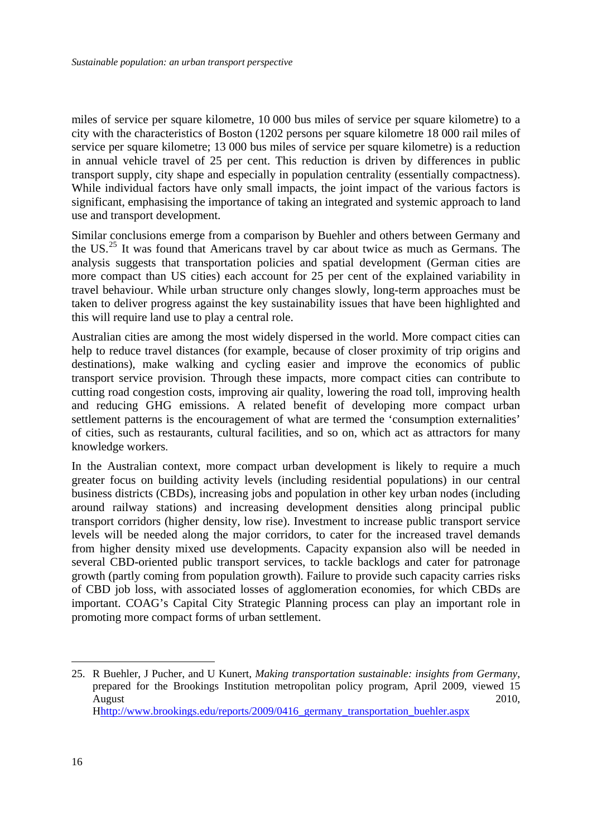miles of service per square kilometre, 10 000 bus miles of service per square kilometre) to a city with the characteristics of Boston (1202 persons per square kilometre 18 000 rail miles of service per square kilometre; 13 000 bus miles of service per square kilometre) is a reduction in annual vehicle travel of 25 per cent. This reduction is driven by differences in public transport supply, city shape and especially in population centrality (essentially compactness). While individual factors have only small impacts, the joint impact of the various factors is significant, emphasising the importance of taking an integrated and systemic approach to land use and transport development.

Similar conclusions emerge from a comparison by Buehler and others between Germany and the US.<sup>[25](#page-18-0)</sup> It was found that Americans travel by car about twice as much as Germans. The analysis suggests that transportation policies and spatial development (German cities are more compact than US cities) each account for 25 per cent of the explained variability in travel behaviour. While urban structure only changes slowly, long-term approaches must be taken to deliver progress against the key sustainability issues that have been highlighted and this will require land use to play a central role.

Australian cities are among the most widely dispersed in the world. More compact cities can help to reduce travel distances (for example, because of closer proximity of trip origins and destinations), make walking and cycling easier and improve the economics of public transport service provision. Through these impacts, more compact cities can contribute to cutting road congestion costs, improving air quality, lowering the road toll, improving health and reducing GHG emissions. A related benefit of developing more compact urban settlement patterns is the encouragement of what are termed the 'consumption externalities' of cities, such as restaurants, cultural facilities, and so on, which act as attractors for many knowledge workers.

In the Australian context, more compact urban development is likely to require a much greater focus on building activity levels (including residential populations) in our central business districts (CBDs), increasing jobs and population in other key urban nodes (including around railway stations) and increasing development densities along principal public transport corridors (higher density, low rise). Investment to increase public transport service levels will be needed along the major corridors, to cater for the increased travel demands from higher density mixed use developments. Capacity expansion also will be needed in several CBD-oriented public transport services, to tackle backlogs and cater for patronage growth (partly coming from population growth). Failure to provide such capacity carries risks of CBD job loss, with associated losses of agglomeration economies, for which CBDs are important. COAG's Capital City Strategic Planning process can play an important role in promoting more compact forms of urban settlement.

<span id="page-18-0"></span><sup>25.</sup> R Buehler, J Pucher, and U Kunert, *Making transportation sustainable: insights from Germany*, prepared for the Brookings Institution metropolitan policy program, April 2009, viewed 15 August 2010, Hhttp://www.brookings.edu/reports/2009/0416\_germany\_transportation\_buehler.aspx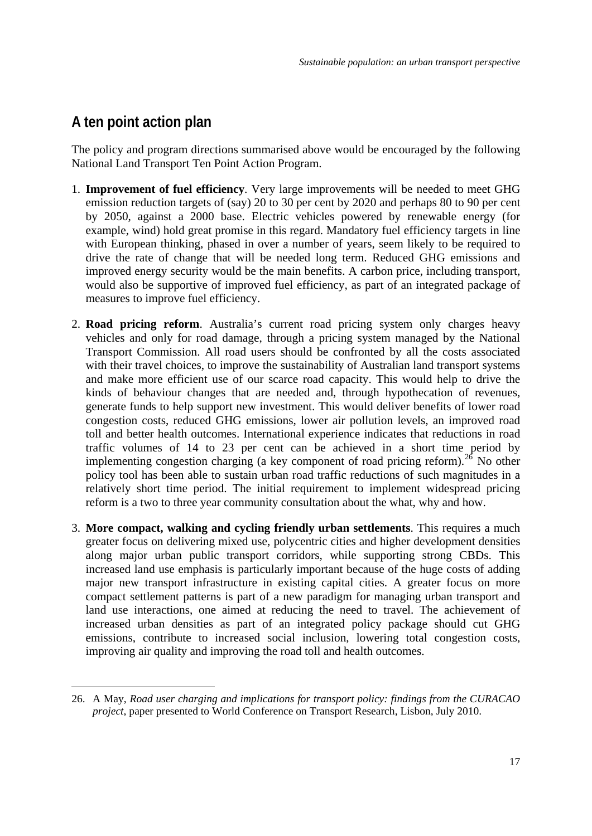### <span id="page-19-0"></span>**A ten point action plan**

1

The policy and program directions summarised above would be encouraged by the following National Land Transport Ten Point Action Program.

- 1. **Improvement of fuel efficiency**. Very large improvements will be needed to meet GHG emission reduction targets of (say) 20 to 30 per cent by 2020 and perhaps 80 to 90 per cent by 2050, against a 2000 base. Electric vehicles powered by renewable energy (for example, wind) hold great promise in this regard. Mandatory fuel efficiency targets in line with European thinking, phased in over a number of years, seem likely to be required to drive the rate of change that will be needed long term. Reduced GHG emissions and improved energy security would be the main benefits. A carbon price, including transport, would also be supportive of improved fuel efficiency, as part of an integrated package of measures to improve fuel efficiency.
- 2. **Road pricing reform**. Australia's current road pricing system only charges heavy vehicles and only for road damage, through a pricing system managed by the National Transport Commission. All road users should be confronted by all the costs associated with their travel choices, to improve the sustainability of Australian land transport systems and make more efficient use of our scarce road capacity. This would help to drive the kinds of behaviour changes that are needed and, through hypothecation of revenues, generate funds to help support new investment. This would deliver benefits of lower road congestion costs, reduced GHG emissions, lower air pollution levels, an improved road toll and better health outcomes. International experience indicates that reductions in road traffic volumes of 14 to 23 per cent can be achieved in a short time period by implementing congestion charging (a key component of road pricing reform).<sup>[26](#page-19-1)</sup> No other policy tool has been able to sustain urban road traffic reductions of such magnitudes in a relatively short time period. The initial requirement to implement widespread pricing reform is a two to three year community consultation about the what, why and how.
- 3. **More compact, walking and cycling friendly urban settlements**. This requires a much greater focus on delivering mixed use, polycentric cities and higher development densities along major urban public transport corridors, while supporting strong CBDs. This increased land use emphasis is particularly important because of the huge costs of adding major new transport infrastructure in existing capital cities. A greater focus on more compact settlement patterns is part of a new paradigm for managing urban transport and land use interactions, one aimed at reducing the need to travel. The achievement of increased urban densities as part of an integrated policy package should cut GHG emissions, contribute to increased social inclusion, lowering total congestion costs, improving air quality and improving the road toll and health outcomes.

<span id="page-19-1"></span><sup>26.</sup> A May, *Road user charging and implications for transport policy: findings from the CURACAO project*, paper presented to World Conference on Transport Research, Lisbon, July 2010.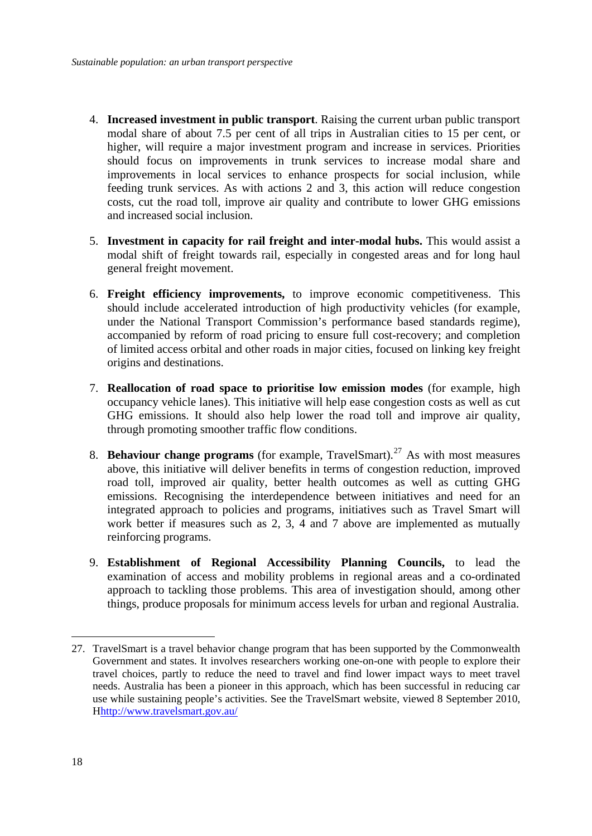- 4. **Increased investment in public transport**. Raising the current urban public transport modal share of about 7.5 per cent of all trips in Australian cities to 15 per cent, or higher, will require a major investment program and increase in services. Priorities should focus on improvements in trunk services to increase modal share and improvements in local services to enhance prospects for social inclusion, while feeding trunk services. As with actions 2 and 3, this action will reduce congestion costs, cut the road toll, improve air quality and contribute to lower GHG emissions and increased social inclusion.
- 5. **Investment in capacity for rail freight and inter-modal hubs.** This would assist a modal shift of freight towards rail, especially in congested areas and for long haul general freight movement.
- 6. **Freight efficiency improvements,** to improve economic competitiveness. This should include accelerated introduction of high productivity vehicles (for example, under the National Transport Commission's performance based standards regime), accompanied by reform of road pricing to ensure full cost-recovery; and completion of limited access orbital and other roads in major cities, focused on linking key freight origins and destinations.
- 7. **Reallocation of road space to prioritise low emission modes** (for example, high occupancy vehicle lanes). This initiative will help ease congestion costs as well as cut GHG emissions. It should also help lower the road toll and improve air quality, through promoting smoother traffic flow conditions.
- 8. **Behaviour change programs** (for example, TravelSmart).<sup>[27](#page-20-0)</sup> As with most measures above, this initiative will deliver benefits in terms of congestion reduction, improved road toll, improved air quality, better health outcomes as well as cutting GHG emissions. Recognising the interdependence between initiatives and need for an integrated approach to policies and programs, initiatives such as Travel Smart will work better if measures such as 2, 3, 4 and 7 above are implemented as mutually reinforcing programs.
- 9. **Establishment of Regional Accessibility Planning Councils,** to lead the examination of access and mobility problems in regional areas and a co-ordinated approach to tackling those problems. This area of investigation should, among other things, produce proposals for minimum access levels for urban and regional Australia.

<span id="page-20-0"></span><sup>27.</sup> TravelSmart is a travel behavior change program that has been supported by the Commonwealth Government and states. It involves researchers working one-on-one with people to explore their travel choices, partly to reduce the need to travel and find lower impact ways to meet travel needs. Australia has been a pioneer in this approach, which has been successful in reducing car use while sustaining people's activities. See the TravelSmart website, viewed 8 September 2010, Hhttp://www.travelsmart.gov.au/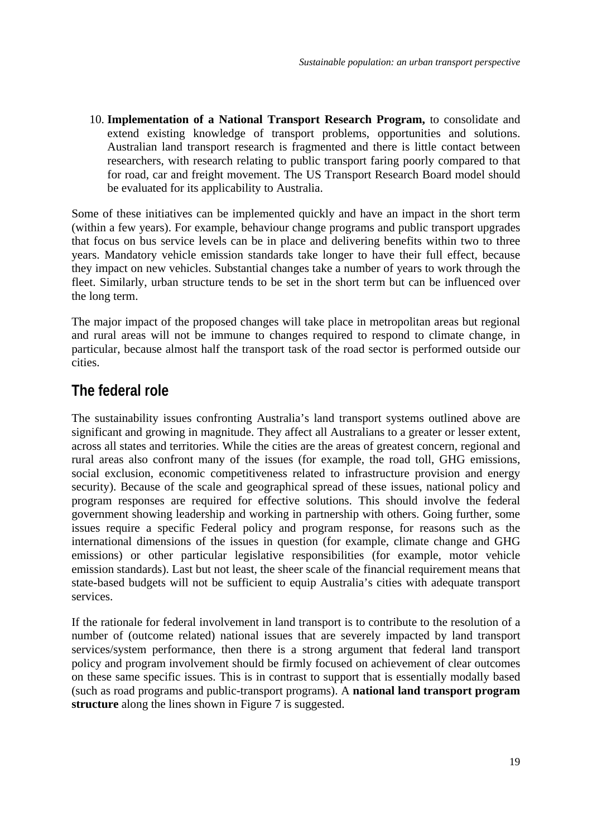<span id="page-21-0"></span>10. **Implementation of a National Transport Research Program,** to consolidate and extend existing knowledge of transport problems, opportunities and solutions. Australian land transport research is fragmented and there is little contact between researchers, with research relating to public transport faring poorly compared to that for road, car and freight movement. The US Transport Research Board model should be evaluated for its applicability to Australia.

Some of these initiatives can be implemented quickly and have an impact in the short term (within a few years). For example, behaviour change programs and public transport upgrades that focus on bus service levels can be in place and delivering benefits within two to three years. Mandatory vehicle emission standards take longer to have their full effect, because they impact on new vehicles. Substantial changes take a number of years to work through the fleet. Similarly, urban structure tends to be set in the short term but can be influenced over the long term.

The major impact of the proposed changes will take place in metropolitan areas but regional and rural areas will not be immune to changes required to respond to climate change, in particular, because almost half the transport task of the road sector is performed outside our cities.

### **The federal role**

The sustainability issues confronting Australia's land transport systems outlined above are significant and growing in magnitude. They affect all Australians to a greater or lesser extent, across all states and territories. While the cities are the areas of greatest concern, regional and rural areas also confront many of the issues (for example, the road toll, GHG emissions, social exclusion, economic competitiveness related to infrastructure provision and energy security). Because of the scale and geographical spread of these issues, national policy and program responses are required for effective solutions. This should involve the federal government showing leadership and working in partnership with others. Going further, some issues require a specific Federal policy and program response, for reasons such as the international dimensions of the issues in question (for example, climate change and GHG emissions) or other particular legislative responsibilities (for example, motor vehicle emission standards). Last but not least, the sheer scale of the financial requirement means that state-based budgets will not be sufficient to equip Australia's cities with adequate transport services.

If the rationale for federal involvement in land transport is to contribute to the resolution of a number of (outcome related) national issues that are severely impacted by land transport services/system performance, then there is a strong argument that federal land transport policy and program involvement should be firmly focused on achievement of clear outcomes on these same specific issues. This is in contrast to support that is essentially modally based (such as road programs and public-transport programs). A **national land transport program structure** along the lines shown in Figure 7 is suggested.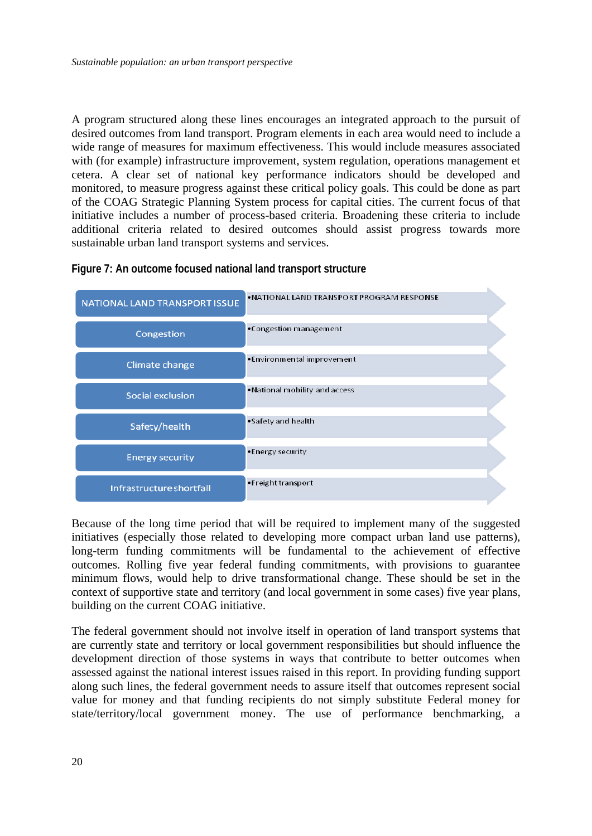A program structured along these lines encourages an integrated approach to the pursuit of desired outcomes from land transport. Program elements in each area would need to include a wide range of measures for maximum effectiveness. This would include measures associated with (for example) infrastructure improvement, system regulation, operations management et cetera. A clear set of national key performance indicators should be developed and monitored, to measure progress against these critical policy goals. This could be done as part of the COAG Strategic Planning System process for capital cities. The current focus of that initiative includes a number of process-based criteria. Broadening these criteria to include additional criteria related to desired outcomes should assist progress towards more sustainable urban land transport systems and services.

| NATIONAL LAND TRANSPORT ISSUE | . NATIONAL LAND TRANSPORT PROGRAM RESPONSE |
|-------------------------------|--------------------------------------------|
| Congestion                    | •Congestion management                     |
| Climate change                | •Environmental improvement                 |
| Social exclusion              | . National mobility and access             |
| Safety/health                 | •Safety and health                         |
| <b>Energy security</b>        | •Energy security                           |
| Infrastructure shortfall      | •Freight transport                         |

**Figure 7: An outcome focused national land transport structure** 

Because of the long time period that will be required to implement many of the suggested initiatives (especially those related to developing more compact urban land use patterns), long-term funding commitments will be fundamental to the achievement of effective outcomes. Rolling five year federal funding commitments, with provisions to guarantee minimum flows, would help to drive transformational change. These should be set in the context of supportive state and territory (and local government in some cases) five year plans, building on the current COAG initiative.

The federal government should not involve itself in operation of land transport systems that are currently state and territory or local government responsibilities but should influence the development direction of those systems in ways that contribute to better outcomes when assessed against the national interest issues raised in this report. In providing funding support along such lines, the federal government needs to assure itself that outcomes represent social value for money and that funding recipients do not simply substitute Federal money for state/territory/local government money. The use of performance benchmarking, a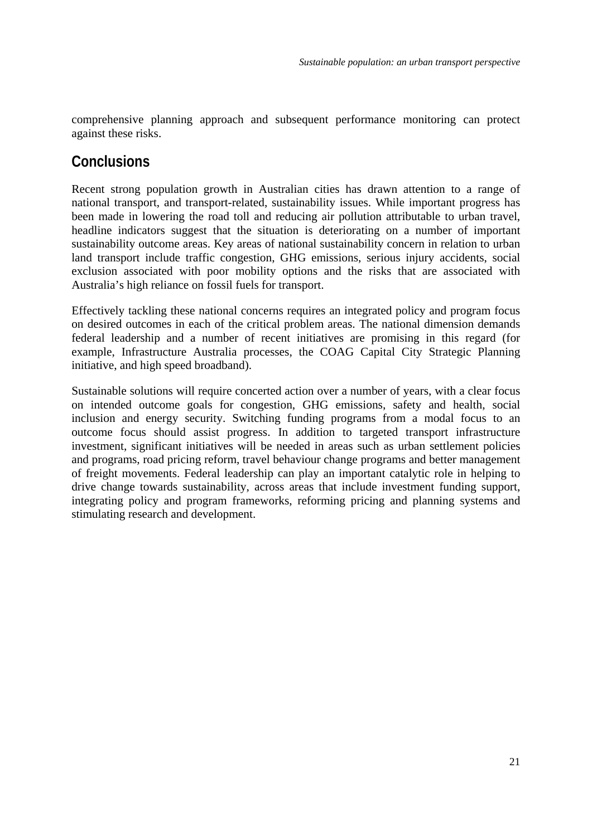<span id="page-23-0"></span>comprehensive planning approach and subsequent performance monitoring can protect against these risks.

### **Conclusions**

Recent strong population growth in Australian cities has drawn attention to a range of national transport, and transport-related, sustainability issues. While important progress has been made in lowering the road toll and reducing air pollution attributable to urban travel, headline indicators suggest that the situation is deteriorating on a number of important sustainability outcome areas. Key areas of national sustainability concern in relation to urban land transport include traffic congestion, GHG emissions, serious injury accidents, social exclusion associated with poor mobility options and the risks that are associated with Australia's high reliance on fossil fuels for transport.

Effectively tackling these national concerns requires an integrated policy and program focus on desired outcomes in each of the critical problem areas. The national dimension demands federal leadership and a number of recent initiatives are promising in this regard (for example, Infrastructure Australia processes, the COAG Capital City Strategic Planning initiative, and high speed broadband).

Sustainable solutions will require concerted action over a number of years, with a clear focus on intended outcome goals for congestion, GHG emissions, safety and health, social inclusion and energy security. Switching funding programs from a modal focus to an outcome focus should assist progress. In addition to targeted transport infrastructure investment, significant initiatives will be needed in areas such as urban settlement policies and programs, road pricing reform, travel behaviour change programs and better management of freight movements. Federal leadership can play an important catalytic role in helping to drive change towards sustainability, across areas that include investment funding support, integrating policy and program frameworks, reforming pricing and planning systems and stimulating research and development.